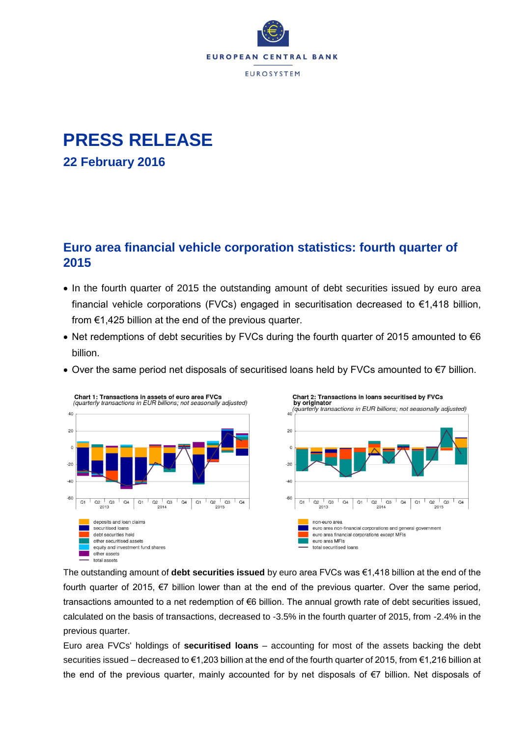

# **PRESS RELEASE 22 February 2016**

## **Euro area financial vehicle corporation statistics: fourth quarter of 2015**

- In the fourth quarter of 2015 the outstanding amount of debt securities issued by euro area financial vehicle corporations (FVCs) engaged in securitisation decreased to €1,418 billion, from  $\epsilon$ 1,425 billion at the end of the previous quarter.
- Net redemptions of debt securities by FVCs during the fourth quarter of 2015 amounted to  $\epsilon$ 6 billion.
- Over the same period net disposals of securitised loans held by FVCs amounted to €7 billion.



The outstanding amount of **debt securities issued** by euro area FVCs was €1,418 billion at the end of the fourth quarter of 2015, €7 billion lower than at the end of the previous quarter. Over the same period, transactions amounted to a net redemption of €6 billion. The annual growth rate of debt securities issued, calculated on the basis of transactions, decreased to -3.5% in the fourth quarter of 2015, from -2.4% in the previous quarter.

Euro area FVCs' holdings of **securitised loans** – accounting for most of the assets backing the debt securities issued – decreased to €1,203 billion at the end of the fourth quarter of 2015, from €1,216 billion at the end of the previous quarter, mainly accounted for by net disposals of €7 billion. Net disposals of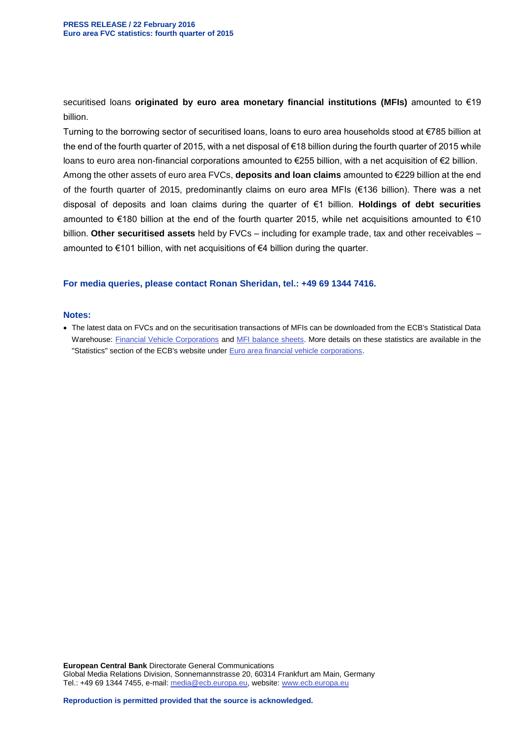securitised loans **originated by euro area monetary financial institutions (MFIs)** amounted to €19 billion.

Turning to the borrowing sector of securitised loans, loans to euro area households stood at €785 billion at the end of the fourth quarter of 2015, with a net disposal of €18 billion during the fourth quarter of 2015 while loans to euro area non-financial corporations amounted to €255 billion, with a net acquisition of €2 billion. Among the other assets of euro area FVCs, **deposits and loan claims** amounted to €229 billion at the end of the fourth quarter of 2015, predominantly claims on euro area MFIs (€136 billion). There was a net disposal of deposits and loan claims during the quarter of €1 billion. **Holdings of debt securities** amounted to €180 billion at the end of the fourth quarter 2015, while net acquisitions amounted to €10 billion. **Other securitised assets** held by FVCs – including for example trade, tax and other receivables – amounted to €101 billion, with net acquisitions of €4 billion during the quarter.

### **For media queries, please contact Ronan Sheridan, tel.: +49 69 1344 7416.**

#### **Notes:**

 The latest data on FVCs and on the securitisation transactions of MFIs can be downloaded from the ECB's Statistical Data Warehouse: [Financial Vehicle Corporations](http://sdw.ecb.europa.eu/browse.do?node=9484280) and [MFI balance sheets.](http://sdw.ecb.europa.eu/browse.do?node=2019173) More details on these statistics are available in the "Statistics" section of the ECB's website under [Euro area financial vehicle corporations.](http://www.ecb.europa.eu/stats/money/fvc/html/index.en.html)